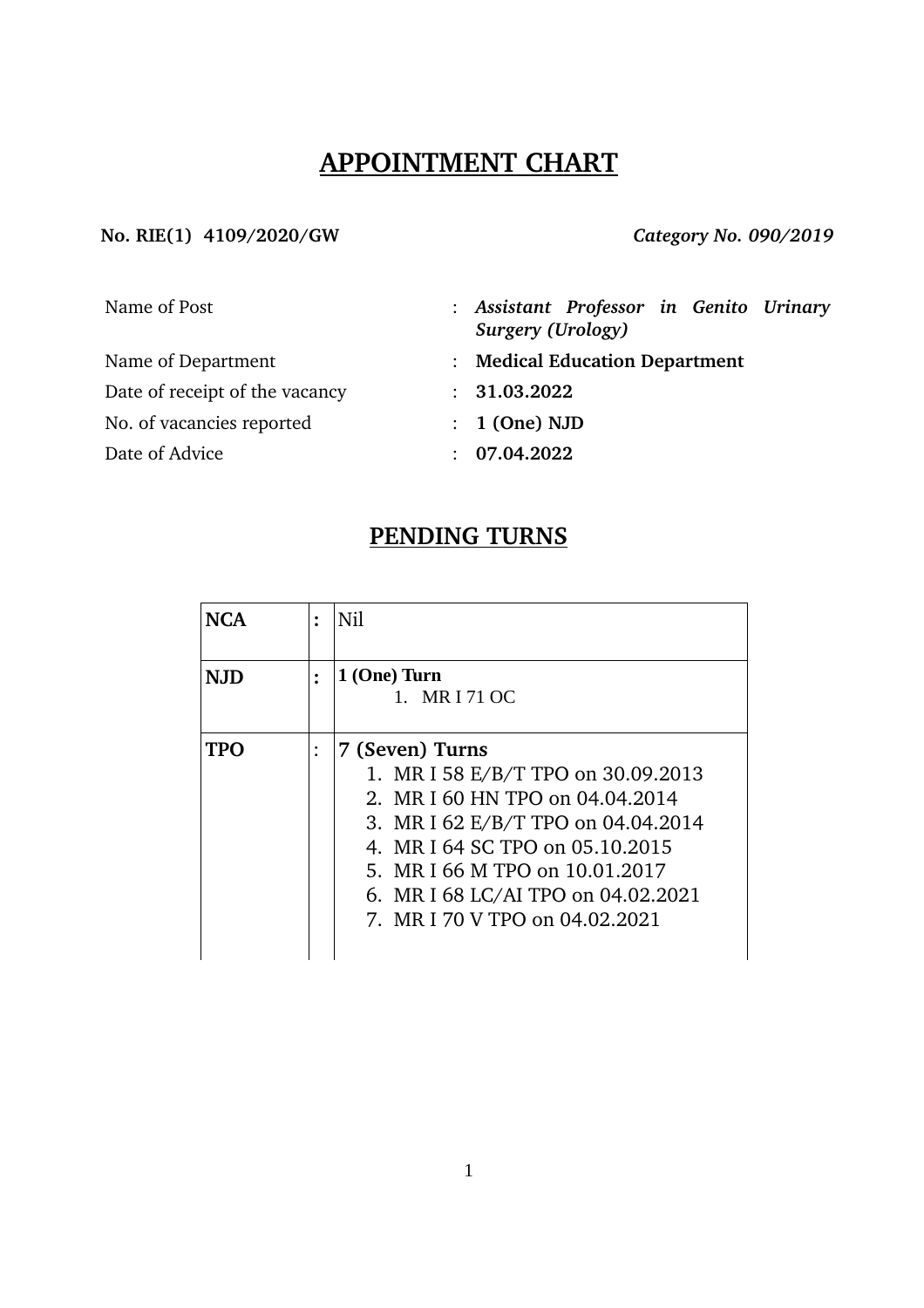# **APPOINTMENT CHART**

### **No. RIE(1) 4109/2020/GW** *Category No. 090/2019*

| Name of Post                   | : Assistant Professor in Genito Urinary<br>Surgery (Urology) |
|--------------------------------|--------------------------------------------------------------|
| Name of Department             | : Medical Education Department                               |
| Date of receipt of the vacancy | : 31.03.2022                                                 |
| No. of vacancies reported      | $: 1$ (One) NJD                                              |
| Date of Advice                 | : 07.04.2022                                                 |

## **PENDING TURNS**

| <b>NCA</b> | ∶ | Nil                                                                                                                                                                                                                                                                         |
|------------|---|-----------------------------------------------------------------------------------------------------------------------------------------------------------------------------------------------------------------------------------------------------------------------------|
| N.JD       |   | 1 (One) Turn<br>1. MR I 71 OC                                                                                                                                                                                                                                               |
| TPO        |   | 7 (Seven) Turns<br>1. MR I 58 E/B/T TPO on 30.09.2013<br>2. MR I 60 HN TPO on 04.04.2014<br>3. MR I 62 E/B/T TPO on 04.04.2014<br>4. MR I 64 SC TPO on 05.10.2015<br>5. MR I 66 M TPO on 10.01.2017<br>6. MR I 68 LC/AI TPO on 04.02.2021<br>7. MR I 70 V TPO on 04.02.2021 |